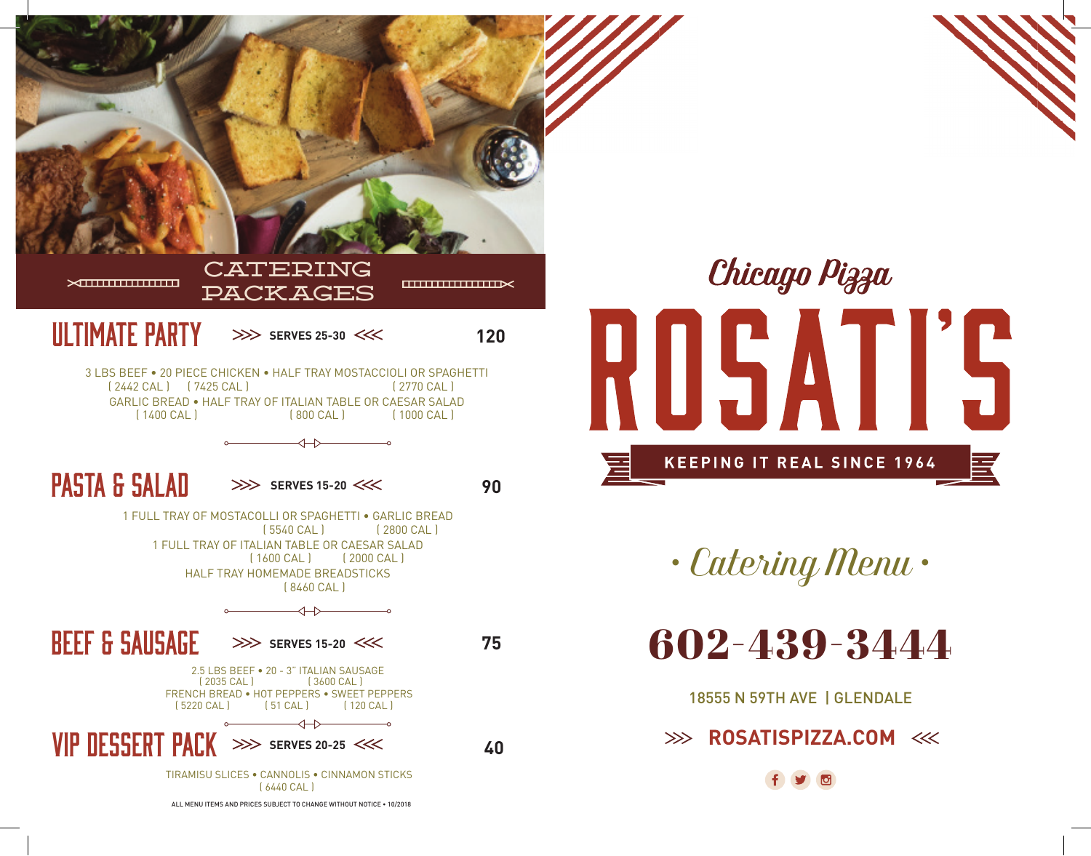



*• Catering Menu •*

602-439-3444

18555 N 59TH AVE | GLENDALE

**ROSATISPIZZA.COM**